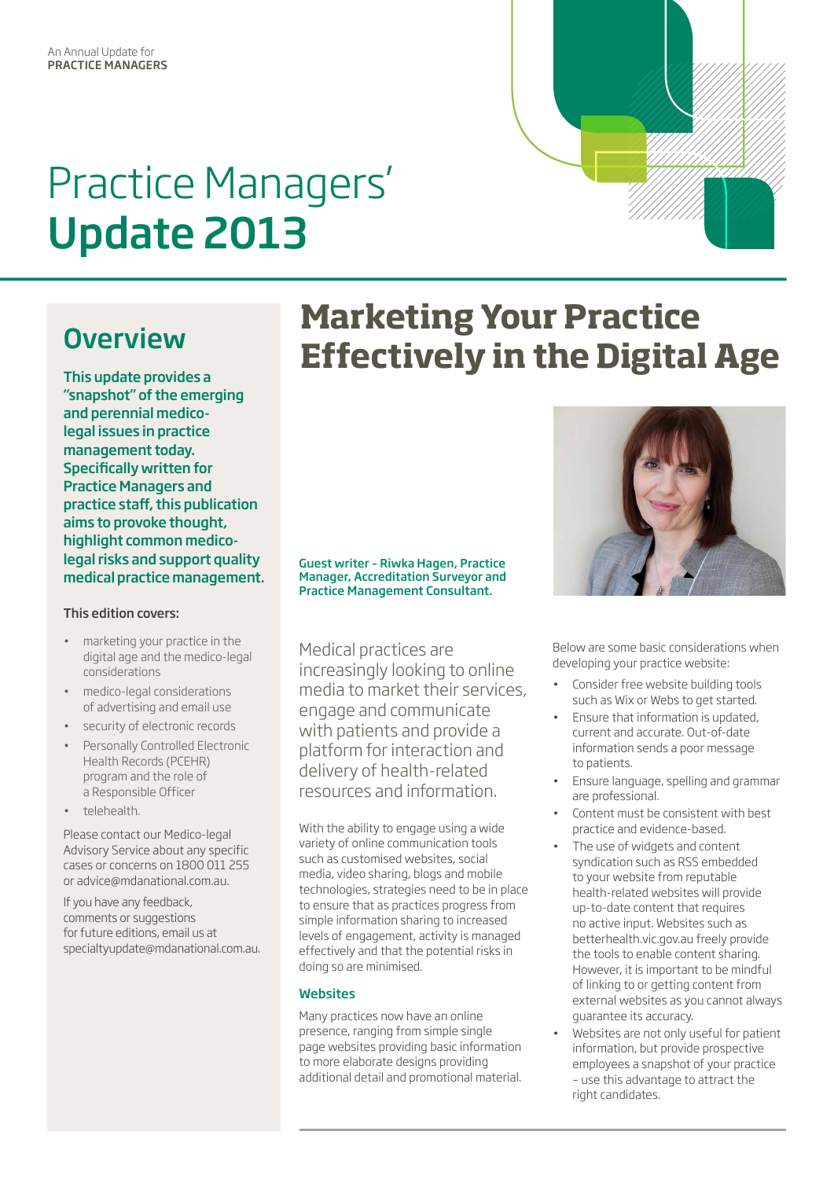# Practice Managers' Update 2013

## **Overview**

This update provides a "snapshot" of the emerging and perennial medicolegal issues in practice management today. Specifically written for Practice Managers and practice staff, this publication aims to provoke thought, highlight common medicolegal risks and support quality medical practice management.

### This edition covers:

- marketing your practice in the digital age and the medico-legal considerations
- medico-legal considerations of advertising and email use
- security of electronic records
- Personally Controlled Electronic Health Records (PCEHR) program and the role of a Responsible Officer
- telehealth.

Please contact our Medico-legal Advisory Service about any specific cases or concerns on 1800 011 255 or advice@mdanational.com.au.

If you have any feedback, comments or suggestions for future editions, email us at specialtyupdate@mdanational.com.au.

# **Marketing Your Practice Effectively in the Digital Age**

#### Guest writer – Riwka Hagen, Practice Manager, Accreditation Surveyor and Practice Management Consultant.

Medical practices are increasingly looking to online media to market their services, engage and communicate with patients and provide a platform for interaction and delivery of health-related resources and information.

With the ability to engage using a wide variety of online communication tools such as customised websites, social media, video sharing, blogs and mobile technologies, strategies need to be in place to ensure that as practices progress from simple information sharing to increased levels of engagement, activity is managed effectively and that the potential risks in doing so are minimised.

### **Websites**

Many practices now have an online presence, ranging from simple single page websites providing basic information to more elaborate designs providing additional detail and promotional material.



Below are some basic considerations when developing your practice website:

- Consider free website building tools such as Wix or Webs to get started.
- **Ensure that information is undated.** current and accurate. Out-of-date information sends a poor message to patients.
- Ensure language, spelling and grammar are professional.
- Content must be consistent with best practice and evidence-based.
- The use of widgets and content syndication such as RSS embedded to your website from reputable health-related websites will provide up-to-date content that requires no active input. Websites such as betterhealth.vic.gov.au freely provide the tools to enable content sharing. However, it is important to be mindful of linking to or getting content from external websites as you cannot always guarantee its accuracy.
- Websites are not only useful for patient information, but provide prospective employees a snapshot of your practice – use this advantage to attract the right candidates.

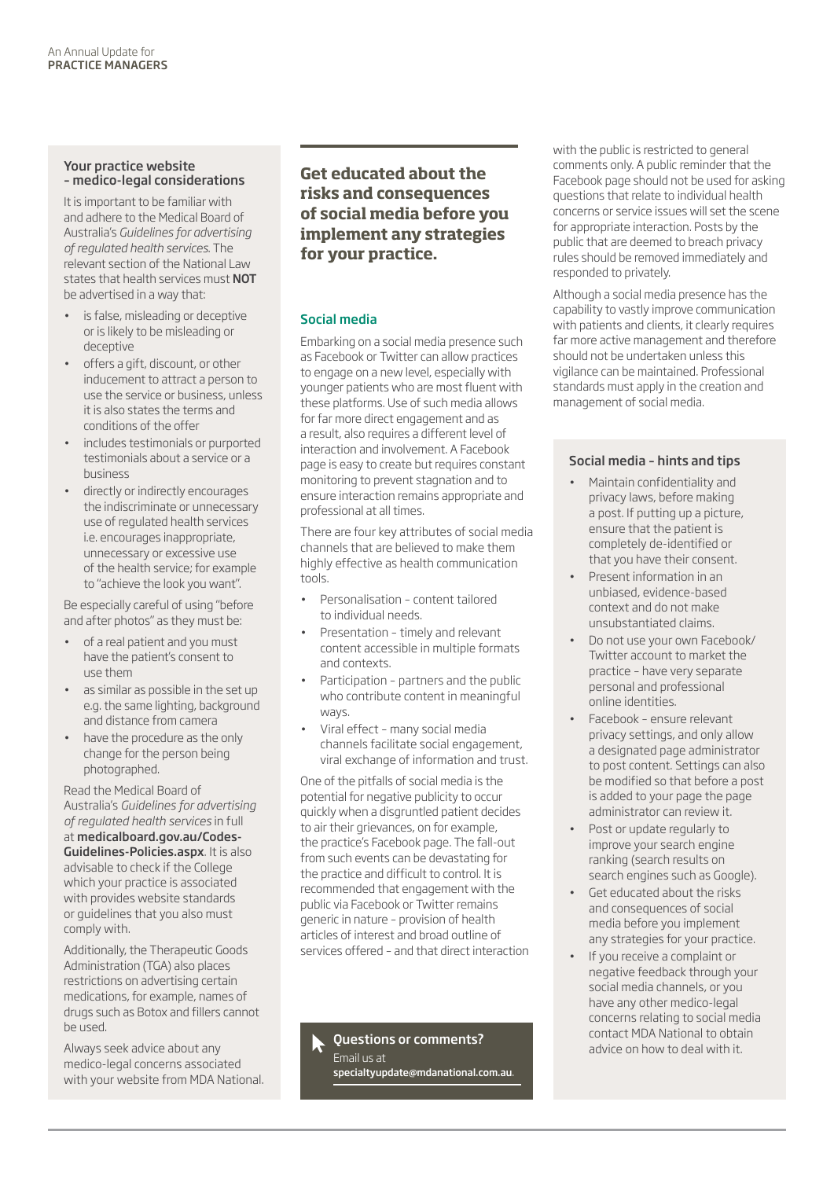### Your practice website – medico-legal considerations

It is important to be familiar with and adhere to the Medical Board of Australia's *Guidelines for advertising of regulated health services*. The relevant section of the National Law states that health services must NOT be advertised in a way that:

- is false, misleading or deceptive or is likely to be misleading or deceptive
- offers a gift, discount, or other inducement to attract a person to use the service or business, unless it is also states the terms and conditions of the offer
- includes testimonials or purported testimonials about a service or a business
- directly or indirectly encourages the indiscriminate or unnecessary use of regulated health services i.e. encourages inappropriate, unnecessary or excessive use of the health service; for example to "achieve the look you want".

Be especially careful of using "before and after photos" as they must be:

- of a real patient and you must have the patient's consent to use them
- as similar as possible in the set up e.g. the same lighting, background and distance from camera
- have the procedure as the only change for the person being photographed.

Read the Medical Board of Australia's *Guidelines for advertising of regulated health services* in full at medicalboard.gov.au/Codes-Guidelines-Policies.aspx. It is also advisable to check if the College which your practice is associated with provides website standards or guidelines that you also must comply with.

Additionally, the Therapeutic Goods Administration (TGA) also places restrictions on advertising certain medications, for example, names of drugs such as Botox and fillers cannot be used.

Always seek advice about any medico-legal concerns associated with your website from MDA National. **Get educated about the risks and consequences of social media before you implement any strategies for your practice.**

### Social media

Embarking on a social media presence such as Facebook or Twitter can allow practices to engage on a new level, especially with younger patients who are most fluent with these platforms. Use of such media allows for far more direct engagement and as a result, also requires a different level of interaction and involvement. A Facebook page is easy to create but requires constant monitoring to prevent stagnation and to ensure interaction remains appropriate and professional at all times.

There are four key attributes of social media channels that are believed to make them highly effective as health communication tools.

- Personalisation content tailored to individual needs.
- Presentation timely and relevant content accessible in multiple formats and contexts.
- • Participation partners and the public who contribute content in meaningful ways.
- Viral effect many social media channels facilitate social engagement, viral exchange of information and trust.

One of the pitfalls of social media is the potential for negative publicity to occur quickly when a disgruntled patient decides to air their grievances, on for example, the practice's Facebook page. The fall-out from such events can be devastating for the practice and difficult to control. It is recommended that engagement with the public via Facebook or Twitter remains generic in nature – provision of health articles of interest and broad outline of services offered – and that direct interaction

Questions or comments? Email us at specialtyupdate@mdanational.com.au. with the public is restricted to general comments only. A public reminder that the Facebook page should not be used for asking questions that relate to individual health concerns or service issues will set the scene for appropriate interaction. Posts by the public that are deemed to breach privacy rules should be removed immediately and responded to privately.

Although a social media presence has the capability to vastly improve communication with patients and clients, it clearly requires far more active management and therefore should not be undertaken unless this vigilance can be maintained. Professional standards must apply in the creation and management of social media.

### Social media – hints and tips

- • Maintain confidentiality and privacy laws, before making a post. If putting up a picture, ensure that the patient is completely de-identified or that you have their consent.
- Present information in an unbiased, evidence-based context and do not make unsubstantiated claims.
- Do not use your own Facebook/ Twitter account to market the practice – have very separate personal and professional online identities.
- Facebook ensure relevant privacy settings, and only allow a designated page administrator to post content. Settings can also be modified so that before a post is added to your page the page administrator can review it.
- Post or update regularly to improve your search engine ranking (search results on search engines such as Google).
- • Get educated about the risks and consequences of social media before you implement any strategies for your practice.
- If you receive a complaint or negative feedback through your social media channels, or you have any other medico-legal concerns relating to social media contact MDA National to obtain advice on how to deal with it.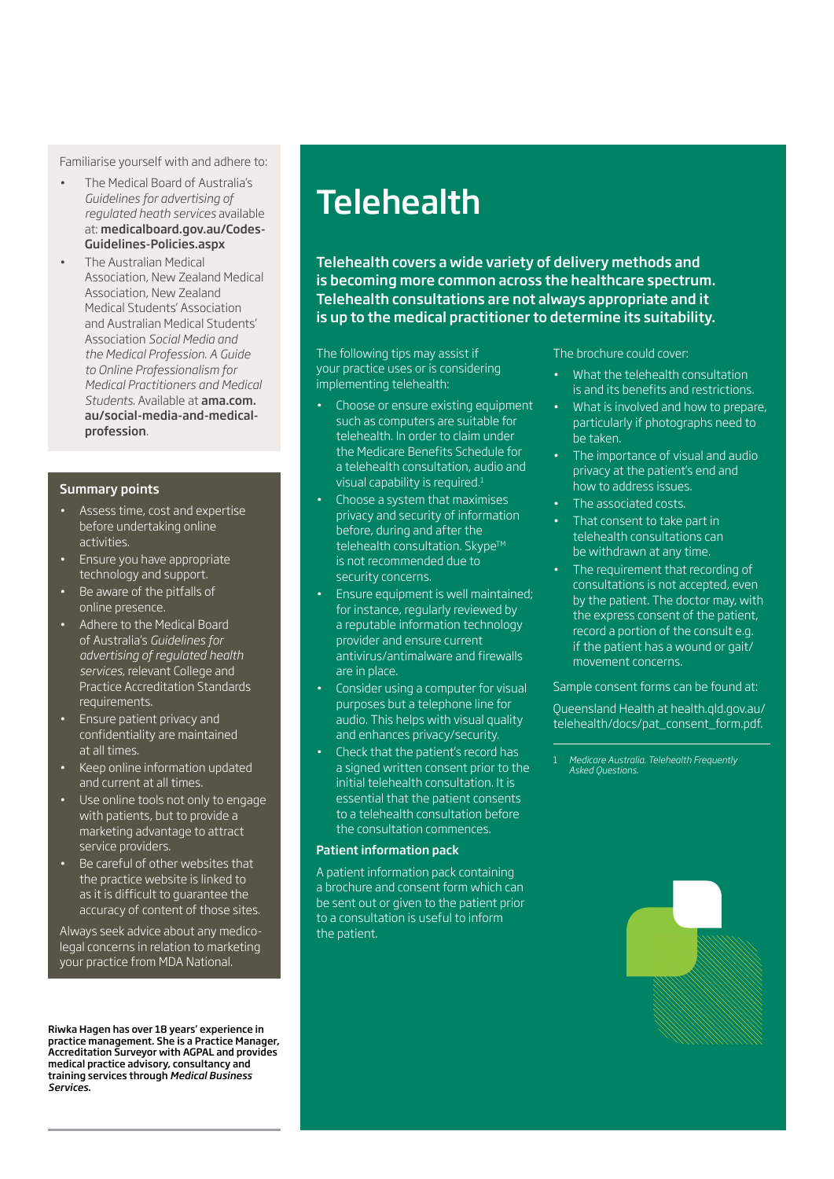Familiarise yourself with and adhere to:

- • The Medical Board of Australia's *Guidelines for advertising of regulated heath services* available at: medicalboard.gov.au/Codes-Guidelines-Policies.aspx
- • The Australian Medical Association, New Zealand Medical Association, New Zealand Medical Students' Association and Australian Medical Students' Association *Social Media and the Medical Profession. A Guide to Online Professionalism for Medical Practitioners and Medical Students*. Available at ama.com. au/social-media-and-medicalprofession.

### Summary points

- Assess time, cost and expertise before undertaking online activities.
- Ensure you have appropriate technology and support.
- Be aware of the pitfalls of online presence.
- Adhere to the Medical Board of Australia's *Guidelines for advertising of regulated health services*, relevant College and Practice Accreditation Standards requirements.
- Ensure patient privacy and confidentiality are maintained at all times.
- Keep online information updated and current at all times.
- Use online tools not only to engage with patients, but to provide a marketing advantage to attract service providers.
- Be careful of other websites that the practice website is linked to as it is difficult to guarantee the accuracy of content of those sites.

Always seek advice about any medicolegal concerns in relation to marketing your practice from MDA National.

Riwka Hagen has over 18 years' experience in practice management. She is a Practice Manager, Accreditation Surveyor with AGPAL and provides medical practice advisory, consultancy and training services through *Medical Business Services*.

## **Telehealth**

Telehealth covers a wide variety of delivery methods and is becoming more common across the healthcare spectrum. Telehealth consultations are not always appropriate and it is up to the medical practitioner to determine its suitability.

The following tips may assist if your practice uses or is considering implementing telehealth:

- Choose or ensure existing equipment such as computers are suitable for telehealth. In order to claim under the Medicare Benefits Schedule for a telehealth consultation, audio and visual capability is required.<sup>1</sup>
- Choose a system that maximises privacy and security of information before, during and after the telehealth consultation. Skype™ is not recommended due to security concerns.
- Ensure equipment is well maintained; for instance, regularly reviewed by a reputable information technology provider and ensure current antivirus/antimalware and firewalls are in place.
- Consider using a computer for visual purposes but a telephone line for audio. This helps with visual quality and enhances privacy/security.
- **Check that the patient's record has** a signed written consent prior to the initial telehealth consultation. It is essential that the patient consents to a telehealth consultation before the consultation commences.

#### Patient information pack

A patient information pack containing a brochure and consent form which can be sent out or given to the patient prior to a consultation is useful to inform the patient.

The brochure could cover:

- What the telehealth consultation is and its benefits and restrictions.
- What is involved and how to prepare, particularly if photographs need to be taken.
- The importance of visual and audio privacy at the patient's end and how to address issues.
- The associated costs.
- That consent to take part in telehealth consultations can be withdrawn at any time.
- The requirement that recording of consultations is not accepted, even by the patient. The doctor may, with the express consent of the patient, record a portion of the consult e.g. if the patient has a wound or gait/ movement concerns.

### Sample consent forms can be found at:

Queensland Health at health.qld.gov.au/ telehealth/docs/pat\_consent\_form.pdf.

1 *Medicare Australia. Telehealth Frequently Asked Questions.*

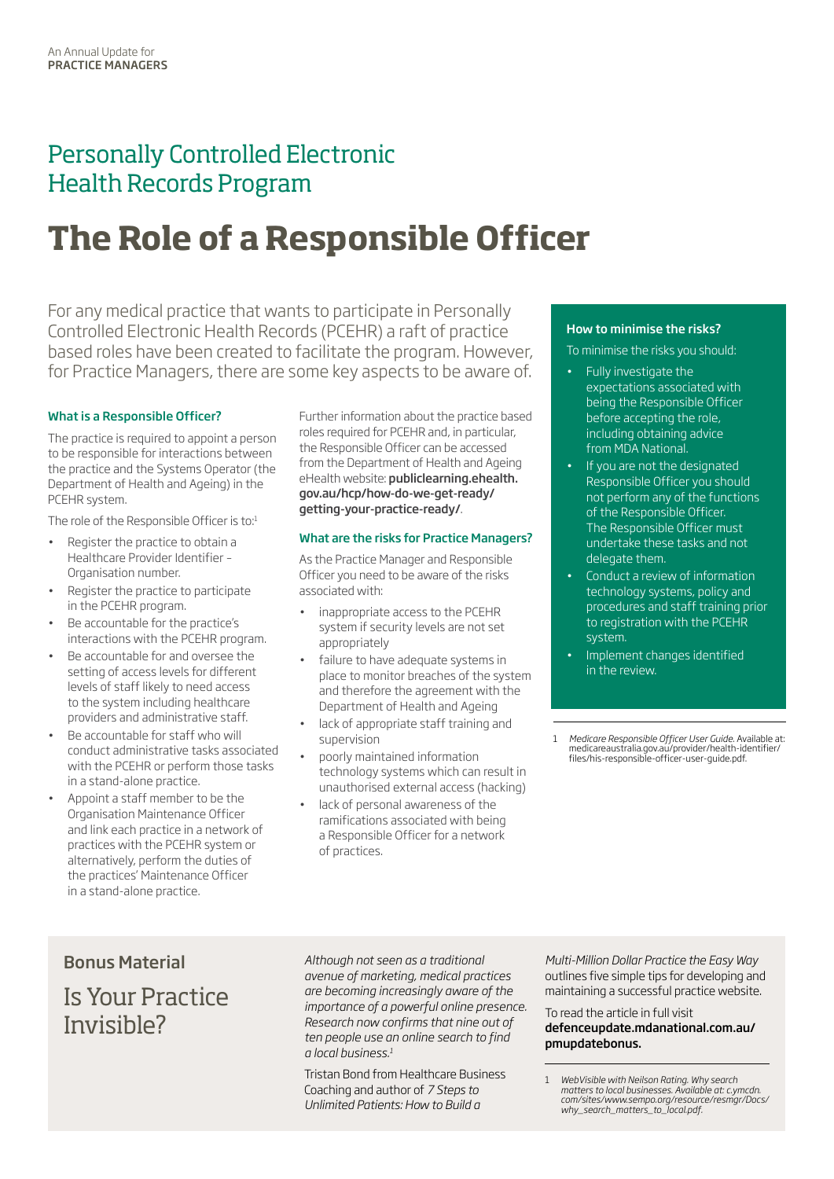### Personally Controlled Electronic Health Records Program

# **The Role of a Responsible Officer**

For any medical practice that wants to participate in Personally Controlled Electronic Health Records (PCEHR) a raft of practice based roles have been created to facilitate the program. However, for Practice Managers, there are some key aspects to be aware of.

### What is a Responsible Officer?

The practice is required to appoint a person to be responsible for interactions between the practice and the Systems Operator (the Department of Health and Ageing) in the PCEHR system.

The role of the Responsible Officer is to:1

- Register the practice to obtain a Healthcare Provider Identifier – Organisation number.
- Register the practice to participate in the PCEHR program.
- Be accountable for the practice's interactions with the PCEHR program.
- Be accountable for and oversee the setting of access levels for different levels of staff likely to need access to the system including healthcare providers and administrative staff.
- Be accountable for staff who will conduct administrative tasks associated with the PCEHR or perform those tasks in a stand-alone practice.
- Appoint a staff member to be the Organisation Maintenance Officer and link each practice in a network of practices with the PCEHR system or alternatively, perform the duties of the practices' Maintenance Officer in a stand-alone practice.

Further information about the practice based roles required for PCEHR and, in particular, the Responsible Officer can be accessed from the Department of Health and Ageing eHealth website: publiclearning.ehealth. gov.au/hcp/how-do-we-get-ready/ getting-your-practice-ready/.

### What are the risks for Practice Managers?

As the Practice Manager and Responsible Officer you need to be aware of the risks associated with:

- inappropriate access to the PCEHR system if security levels are not set appropriately
- failure to have adequate systems in place to monitor breaches of the system and therefore the agreement with the Department of Health and Ageing
- lack of appropriate staff training and supervision
- poorly maintained information technology systems which can result in unauthorised external access (hacking)
- lack of personal awareness of the ramifications associated with being a Responsible Officer for a network of practices.

### How to minimise the risks?

To minimise the risks you should:

- • Fully investigate the expectations associated with being the Responsible Officer before accepting the role, including obtaining advice from MDA National.
- If you are not the designated Responsible Officer you should not perform any of the functions of the Responsible Officer. The Responsible Officer must undertake these tasks and not delegate them.
- Conduct a review of information technology systems, policy and procedures and staff training prior to registration with the PCEHR system.
- Implement changes identified in the review.

1 *Medicare Responsible Officer User Guide*. Available at: medicareaustralia.gov.au/provider/health-identifier/ files/his-responsible-officer-user-guide.pdf.

### Bonus Material

Is Your Practice Invisible?

*Although not seen as a traditional avenue of marketing, medical practices are becoming increasingly aware of the importance of a powerful online presence. Research now confirms that nine out of ten people use an online search to find a local business.1*

Tristan Bond from Healthcare Business Coaching and author of *7 Steps to Unlimited Patients: How to Build a* 

*Multi-Million Dollar Practice the Easy Way* outlines five simple tips for developing and maintaining a successful practice website.

To read the article in full visit

### defenceupdate.mdanational.com.au/ pmupdatebonus.

<sup>1</sup> *WebVisible with Neilson Rating. Why search matters to local businesses. Available at: c.ymcdn. com/sites/www.sempo.org/resource/resmgr/Docs/ why\_search\_matters\_to\_local.pdf.*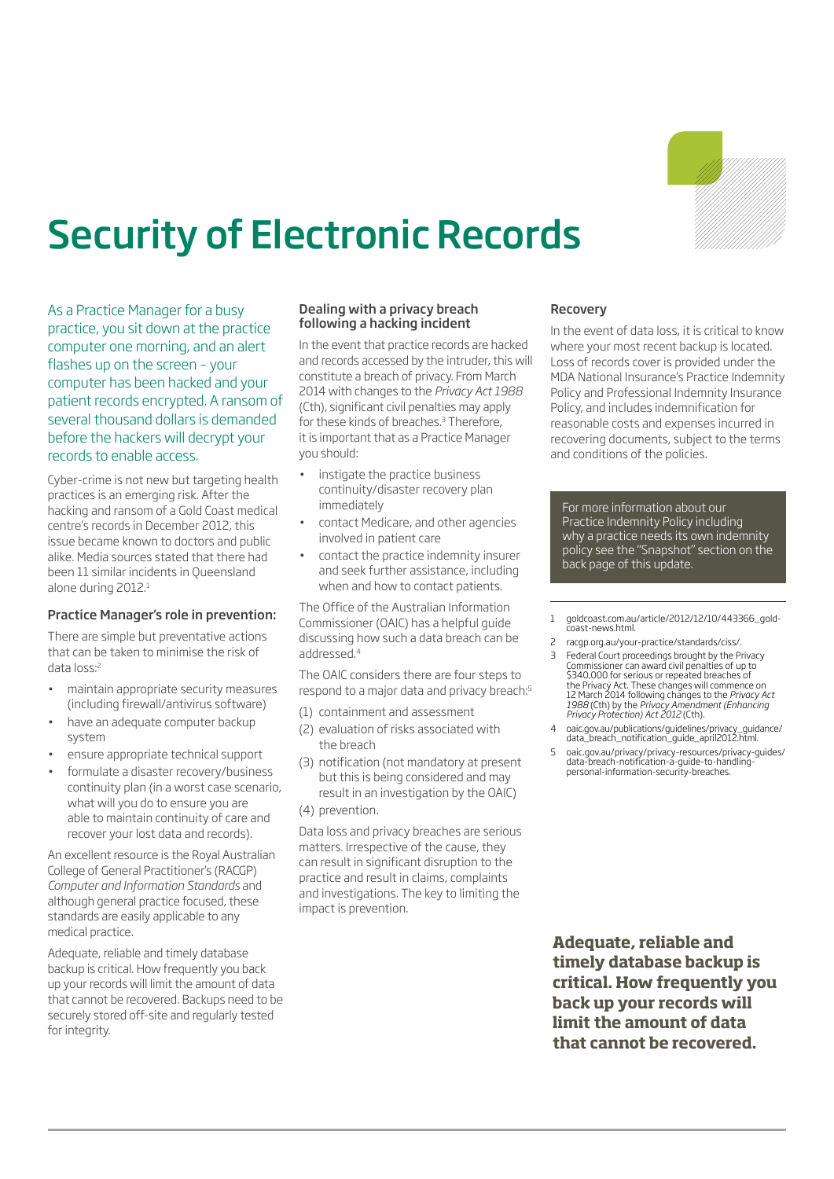

# Security of Electronic Records

As a Practice Manager for a busy practice, you sit down at the practice computer one morning, and an alert flashes up on the screen – your computer has been hacked and your patient records encrypted. A ransom of several thousand dollars is demanded before the hackers will decrypt your records to enable access.

Cyber-crime is not new but targeting health practices is an emerging risk. After the hacking and ransom of a Gold Coast medical centre's records in December 2012, this issue became known to doctors and public alike. Media sources stated that there had been 11 similar incidents in Queensland alone during 2012.<sup>1</sup>

### Practice Manager's role in prevention:

There are simple but preventative actions that can be taken to minimise the risk of data loss:<sup>2</sup>

- maintain appropriate security measures (including firewall/antivirus software)
- have an adequate computer backup system
- ensure appropriate technical support
- formulate a disaster recovery/business continuity plan (in a worst case scenario, what will you do to ensure you are able to maintain continuity of care and recover your lost data and records).

An excellent resource is the Royal Australian College of General Practitioner's (RACGP) *Computer and Information Standards* and although general practice focused, these standards are easily applicable to any medical practice.

Adequate, reliable and timely database backup is critical. How frequently you back up your records will limit the amount of data that cannot be recovered. Backups need to be securely stored off-site and regularly tested for integrity.

### Dealing with a privacy breach following a hacking incident

In the event that practice records are hacked and records accessed by the intruder, this will constitute a breach of privacy. From March 2014 with changes to the *Privacy Act 1988* (Cth), significant civil penalties may apply for these kinds of breaches.<sup>3</sup> Therefore, it is important that as a Practice Manager you should:

- instigate the practice business continuity/disaster recovery plan immediately
- contact Medicare, and other agencies involved in patient care
- contact the practice indemnity insurer and seek further assistance, including when and how to contact patients.

The Office of the Australian Information Commissioner (OAIC) has a helpful guide discussing how such a data breach can be addressed.4

The OAIC considers there are four steps to respond to a major data and privacy breach:<sup>5</sup>

- (1) containment and assessment
- (2) evaluation of risks associated with the breach
- (3) notification (not mandatory at present but this is being considered and may result in an investigation by the OAIC)
- (4) prevention.

Data loss and privacy breaches are serious matters. Irrespective of the cause, they can result in significant disruption to the practice and result in claims, complaints and investigations. The key to limiting the impact is prevention.

### Recovery

In the event of data loss, it is critical to know where your most recent backup is located. Loss of records cover is provided under the MDA National Insurance's Practice Indemnity Policy and Professional Indemnity Insurance Policy, and includes indemnification for reasonable costs and expenses incurred in recovering documents, subject to the terms and conditions of the policies.

For more information about our Practice Indemnity Policy including why a practice needs its own indemnity policy see the "Snapshot" section on the back page of this update.

1 goldcoast.com.au/article/2012/12/10/443366\_goldcoast-news.html.

- 2 racgp.org.au/your-practice/standards/ciss/.
- 3 Federal Court proceedings brought by the Privacy Commissioner can award civil penalties of up to \$340,000 for serious or repeated breaches of the Privacy Act. These changes will commence on 12 March 2014 following changes to the *Privacy Act 1988* (Cth) by the *Privacy Amendment (Enhancing Privacy Protection) Act 2012* (Cth).
- 4 oaic.gov.au/publications/guidelines/privacy\_guidance/ data\_breach\_notification\_guide\_april2012.html.
- 5 oaic.gov.au/privacy/privacy-resources/privacy-guides/ data-breach-notification-a-guide-to-handling-personal-information-security-breaches.

**Adequate, reliable and timely database backup is critical. How frequently you back up your records will limit the amount of data that cannot be recovered.**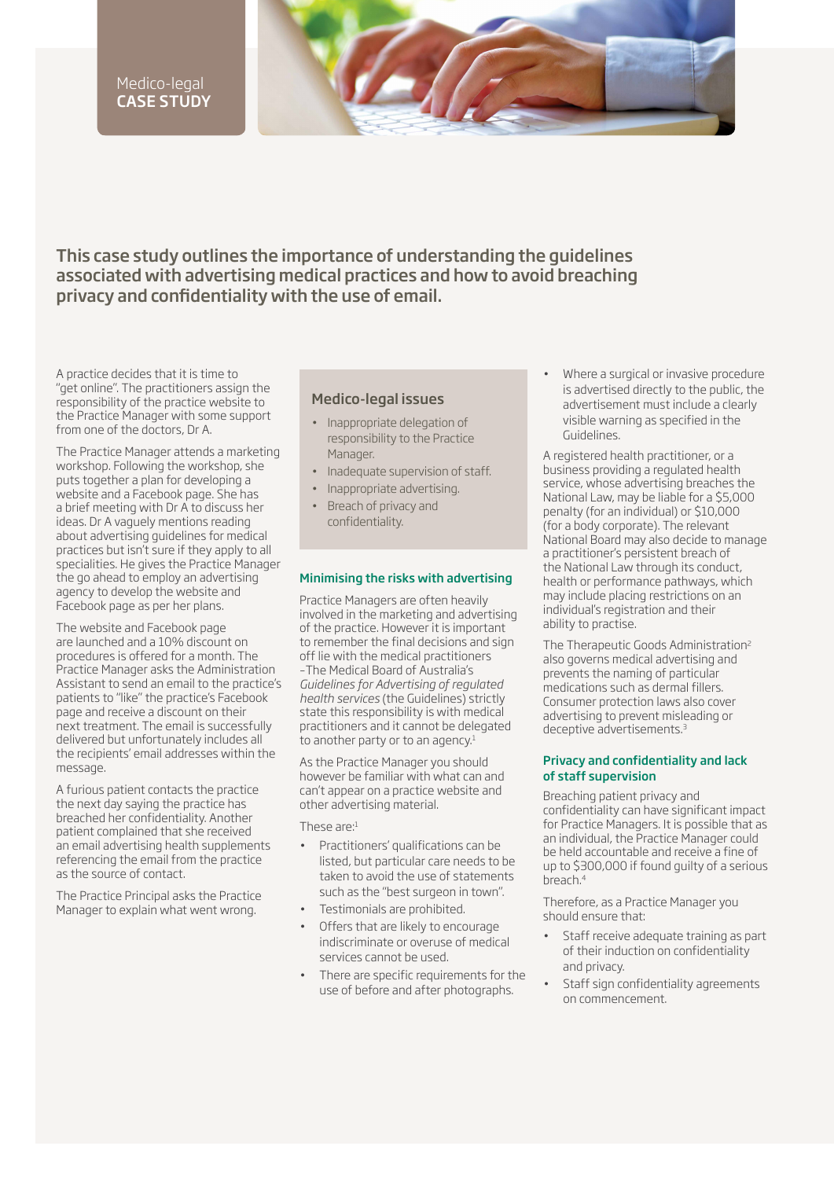### Medico-legal CASE STUDY

This case study outlines the importance of understanding the guidelines associated with advertising medical practices and how to avoid breaching privacy and confidentiality with the use of email.

A practice decides that it is time to "get online". The practitioners assign the responsibility of the practice website to the Practice Manager with some support from one of the doctors, Dr A.

The Practice Manager attends a marketing workshop. Following the workshop, she puts together a plan for developing a website and a Facebook page. She has a brief meeting with Dr A to discuss her ideas. Dr A vaguely mentions reading about advertising guidelines for medical practices but isn't sure if they apply to all specialities. He gives the Practice Manager the go ahead to employ an advertising agency to develop the website and Facebook page as per her plans.

The website and Facebook page are launched and a 10% discount on procedures is offered for a month. The Practice Manager asks the Administration Assistant to send an email to the practice's patients to "like" the practice's Facebook page and receive a discount on their next treatment. The email is successfully delivered but unfortunately includes all the recipients' email addresses within the message.

A furious patient contacts the practice the next day saying the practice has breached her confidentiality. Another patient complained that she received an email advertising health supplements referencing the email from the practice as the source of contact.

The Practice Principal asks the Practice Manager to explain what went wrong.

### Medico-legal issues

- • Inappropriate delegation of responsibility to the Practice Manager.
- Inadequate supervision of staff.
- Inappropriate advertising.
- Breach of privacy and confidentiality.

### Minimising the risks with advertising

Practice Managers are often heavily involved in the marketing and advertising of the practice. However it is important to remember the final decisions and sign off lie with the medical practitioners –The Medical Board of Australia's *Guidelines for Advertising of regulated health services* (the Guidelines) strictly state this responsibility is with medical practitioners and it cannot be delegated to another party or to an agency.<sup>1</sup>

As the Practice Manager you should however be familiar with what can and can't appear on a practice website and other advertising material.

These are:<sup>1</sup>

- Practitioners' qualifications can be listed, but particular care needs to be taken to avoid the use of statements such as the "best surgeon in town".
- Testimonials are prohibited.
- Offers that are likely to encourage indiscriminate or overuse of medical services cannot be used.
- There are specific requirements for the use of before and after photographs.

Where a surgical or invasive procedure is advertised directly to the public, the advertisement must include a clearly visible warning as specified in the Guidelines.

A registered health practitioner, or a business providing a regulated health service, whose advertising breaches the National Law, may be liable for a \$5,000 penalty (for an individual) or \$10,000 (for a body corporate). The relevant National Board may also decide to manage a practitioner's persistent breach of the National Law through its conduct, health or performance pathways, which may include placing restrictions on an individual's registration and their ability to practise.

The Therapeutic Goods Administration<sup>2</sup> also governs medical advertising and prevents the naming of particular medications such as dermal fillers. Consumer protection laws also cover advertising to prevent misleading or deceptive advertisements.3

### Privacy and confidentiality and lack of staff supervision

Breaching patient privacy and confidentiality can have significant impact for Practice Managers. It is possible that as an individual, the Practice Manager could be held accountable and receive a fine of up to \$300,000 if found guilty of a serious breach.4

Therefore, as a Practice Manager you should ensure that:

- Staff receive adequate training as part of their induction on confidentiality and privacy.
- Staff sign confidentiality agreements on commencement.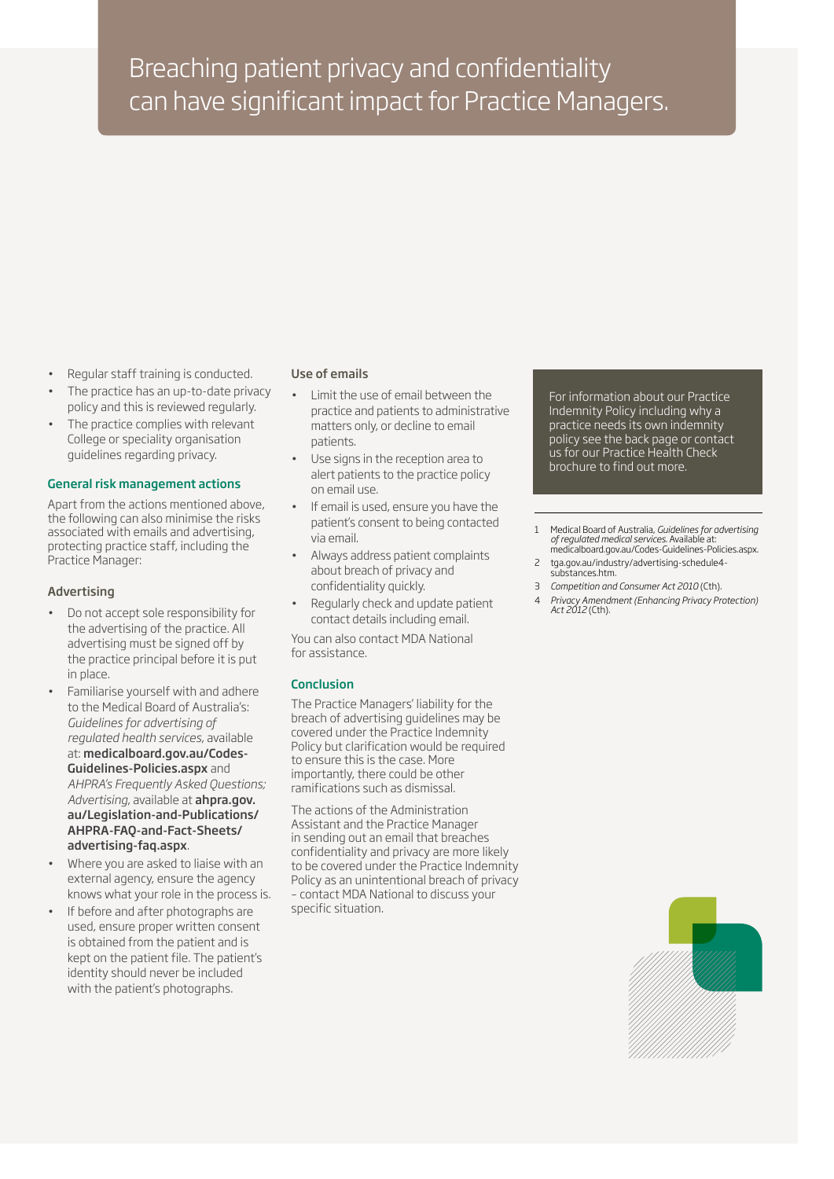### Breaching patient privacy and confidentiality can have significant impact for Practice Managers.

- Regular staff training is conducted.
- The practice has an up-to-date privacy policy and this is reviewed regularly.
- The practice complies with relevant College or speciality organisation guidelines regarding privacy.

### General risk management actions

Apart from the actions mentioned above, the following can also minimise the risks associated with emails and advertising, protecting practice staff, including the Practice Manager:

### Advertising

- Do not accept sole responsibility for the advertising of the practice. All advertising must be signed off by the practice principal before it is put in place.
- Familiarise yourself with and adhere to the Medical Board of Australia's: *Guidelines for advertising of regulated health services*, available at: medicalboard.gov.au/Codes-Guidelines-Policies.aspx and *AHPRA's Frequently Asked Questions; Advertising*, available at ahpra.gov. au/Legislation-and-Publications/ AHPRA-FAQ-and-Fact-Sheets/ advertising-faq.aspx.
- Where you are asked to liaise with an external agency, ensure the agency knows what your role in the process is.
- If before and after photographs are used, ensure proper written consent is obtained from the patient and is kept on the patient file. The patient's identity should never be included with the patient's photographs.

### Use of emails

- Limit the use of email between the practice and patients to administrative matters only, or decline to email patients.
- Use signs in the reception area to alert patients to the practice policy on email use.
- If email is used, ensure you have the patient's consent to being contacted via email.
- Always address patient complaints about breach of privacy and confidentiality quickly.
- Regularly check and update patient contact details including email.

You can also contact MDA National for assistance.

### Conclusion

The Practice Managers' liability for the breach of advertising guidelines may be covered under the Practice Indemnity Policy but clarification would be required to ensure this is the case. More importantly, there could be other ramifications such as dismissal.

The actions of the Administration Assistant and the Practice Manager in sending out an email that breaches confidentiality and privacy are more likely to be covered under the Practice Indemnity Policy as an unintentional breach of privacy – contact MDA National to discuss your specific situation.

For information about our Practice Indemnity Policy including why a practice needs its own indemnity policy see the back page or contact us for our Practice Health Check brochure to find out more.

- 1 Medical Board of Australia, *Guidelines for advertising of regulated medical services*. Available at: medicalboard.gov.au/Codes-Guidelines-Policies.aspx.
- 2 tga.gov.au/industry/advertising-schedule4 substances.htm.
- 3 *Competition and Consumer Act 2010* (Cth).
- 4 *Privacy Amendment (Enhancing Privacy Protection) Act 2012* (Cth).